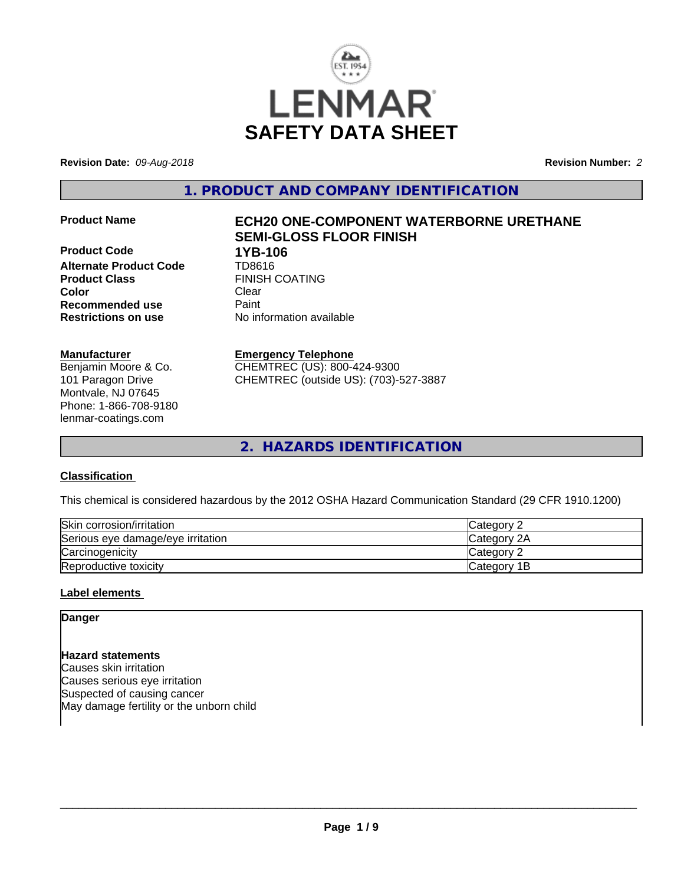

**Revision Date:** *09-Aug-2018* **Revision Number:** *2*

**1. PRODUCT AND COMPANY IDENTIFICATION**

**Product Code 1YB-106 Alternate Product Code** TD8616 **Product Class** FINISH COATING **Color** Clear Clear **Recommended use** Paint<br> **Restrictions on use** Mo information available **Restrictions on use** 

## **Manufacturer**

Benjamin Moore & Co. 101 Paragon Drive Montvale, NJ 07645 Phone: 1-866-708-9180 lenmar-coatings.com

# **Product Name ECH20 ONE-COMPONENT WATERBORNE URETHANE SEMI-GLOSS FLOOR FINISH**

**Emergency Telephone** CHEMTREC (US): 800-424-9300

CHEMTREC (outside US): (703)-527-3887

**2. HAZARDS IDENTIFICATION**

## **Classification**

This chemical is considered hazardous by the 2012 OSHA Hazard Communication Standard (29 CFR 1910.1200)

| Skin corrosion/irritation         | ∴Category ⊂        |
|-----------------------------------|--------------------|
| Serious eye damage/eye irritation | Category 2A        |
| Carcinogenicity                   | <b>ICategory 2</b> |
| Reproductive toxicity             | Category 1B        |

## **Label elements**

## **Danger**

**Hazard statements** Causes skin irritation Causes serious eye irritation Suspected of causing cancer May damage fertility or the unborn child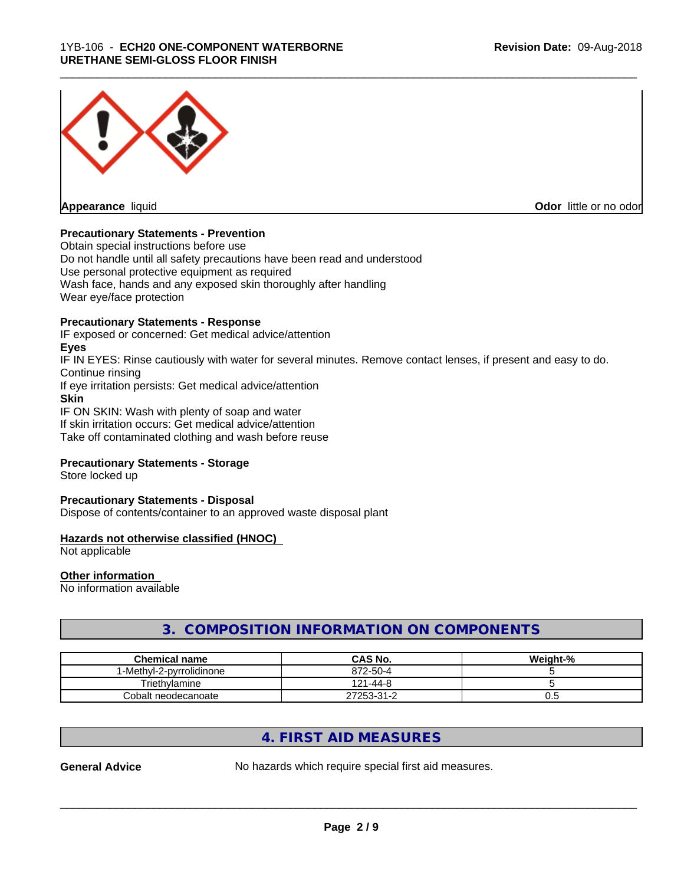

**Appearance** liquid

**Odor** little or no odor

## **Precautionary Statements - Prevention**

Obtain special instructions before use Do not handle until all safety precautions have been read and understood Use personal protective equipment as required Wash face, hands and any exposed skin thoroughly after handling Wear eye/face protection

## **Precautionary Statements - Response**

IF exposed or concerned: Get medical advice/attention **Eyes**

IF IN EYES: Rinse cautiously with water for several minutes. Remove contact lenses, if present and easy to do. Continue rinsing

\_\_\_\_\_\_\_\_\_\_\_\_\_\_\_\_\_\_\_\_\_\_\_\_\_\_\_\_\_\_\_\_\_\_\_\_\_\_\_\_\_\_\_\_\_\_\_\_\_\_\_\_\_\_\_\_\_\_\_\_\_\_\_\_\_\_\_\_\_\_\_\_\_\_\_\_\_\_\_\_\_\_\_\_\_\_\_\_\_\_\_\_\_

If eye irritation persists: Get medical advice/attention

**Skin**

IF ON SKIN: Wash with plenty of soap and water If skin irritation occurs: Get medical advice/attention Take off contaminated clothing and wash before reuse

## **Precautionary Statements - Storage**

Store locked up

#### **Precautionary Statements - Disposal**

Dispose of contents/container to an approved waste disposal plant

## **Hazards not otherwise classified (HNOC)**

Not applicable

#### **Other information**

No information available

## **3. COMPOSITION INFORMATION ON COMPONENTS**

| <b>Chemical name</b>     | <b>CAS No.</b>       | Weight-% |
|--------------------------|----------------------|----------|
| I-Methvl-2-pvrrolidinone | 872-50-4             |          |
| Triethvlamine            | $1 - 44 - 8$<br>191. |          |
| Cobalt neodecanoate      | 27253-31-2           | v.J      |

## **4. FIRST AID MEASURES**

**General Advice** No hazards which require special first aid measures.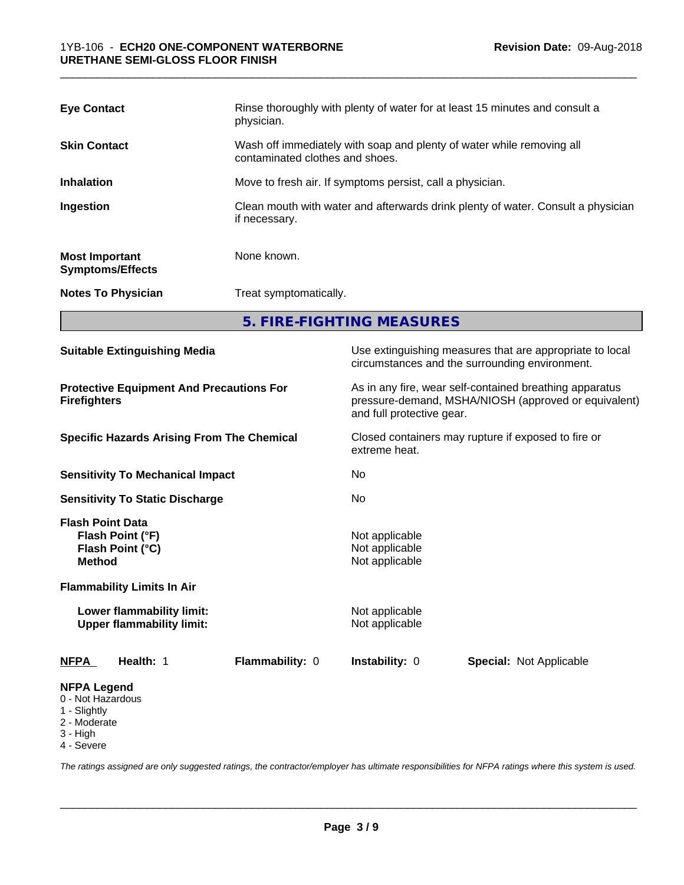| <b>Eye Contact</b>                               | Rinse thoroughly with plenty of water for at least 15 minutes and consult a<br>physician.                |
|--------------------------------------------------|----------------------------------------------------------------------------------------------------------|
| <b>Skin Contact</b>                              | Wash off immediately with soap and plenty of water while removing all<br>contaminated clothes and shoes. |
| <b>Inhalation</b>                                | Move to fresh air. If symptoms persist, call a physician.                                                |
| Ingestion                                        | Clean mouth with water and afterwards drink plenty of water. Consult a physician<br>if necessary.        |
| <b>Most Important</b><br><b>Symptoms/Effects</b> | None known.                                                                                              |
| <b>Notes To Physician</b>                        | Treat symptomatically.                                                                                   |

**5. FIRE-FIGHTING MEASURES**

| <b>Suitable Extinguishing Media</b>                                                                                   | Use extinguishing measures that are appropriate to local<br>circumstances and the surrounding environment.                                                                                                           |  |
|-----------------------------------------------------------------------------------------------------------------------|----------------------------------------------------------------------------------------------------------------------------------------------------------------------------------------------------------------------|--|
| <b>Protective Equipment And Precautions For</b><br><b>Firefighters</b>                                                | As in any fire, wear self-contained breathing apparatus<br>pressure-demand, MSHA/NIOSH (approved or equivalent)<br>and full protective gear.<br>Closed containers may rupture if exposed to fire or<br>extreme heat. |  |
| <b>Specific Hazards Arising From The Chemical</b>                                                                     |                                                                                                                                                                                                                      |  |
| <b>Sensitivity To Mechanical Impact</b>                                                                               | No                                                                                                                                                                                                                   |  |
| <b>Sensitivity To Static Discharge</b>                                                                                | No                                                                                                                                                                                                                   |  |
| <b>Flash Point Data</b><br>Flash Point (°F)<br>Flash Point (°C)<br><b>Method</b><br><b>Flammability Limits In Air</b> | Not applicable<br>Not applicable<br>Not applicable                                                                                                                                                                   |  |
| Lower flammability limit:<br><b>Upper flammability limit:</b>                                                         | Not applicable<br>Not applicable                                                                                                                                                                                     |  |
| Health: 1<br>Flammability: 0<br><b>NFPA</b>                                                                           | Instability: 0<br><b>Special: Not Applicable</b>                                                                                                                                                                     |  |
| <b>NFPA Legend</b><br>0 - Not Hazardous<br>1 - Slightly<br>2 - Moderate<br>3 - High<br>4 - Severe                     |                                                                                                                                                                                                                      |  |

*The ratings assigned are only suggested ratings, the contractor/employer has ultimate responsibilities for NFPA ratings where this system is used.*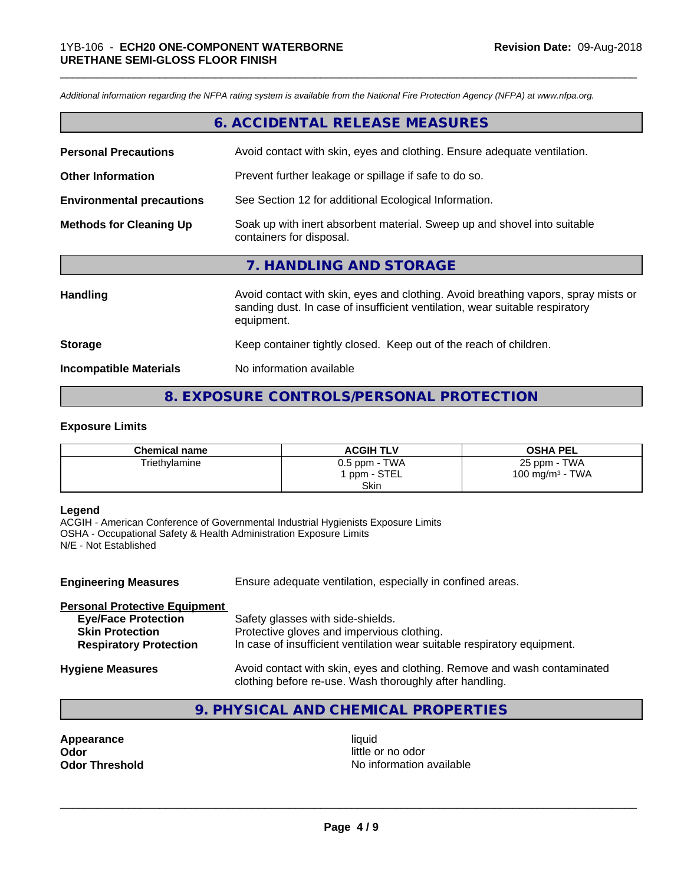*Additional information regarding the NFPA rating system is available from the National Fire Protection Agency (NFPA) at www.nfpa.org.*

## **6. ACCIDENTAL RELEASE MEASURES**

\_\_\_\_\_\_\_\_\_\_\_\_\_\_\_\_\_\_\_\_\_\_\_\_\_\_\_\_\_\_\_\_\_\_\_\_\_\_\_\_\_\_\_\_\_\_\_\_\_\_\_\_\_\_\_\_\_\_\_\_\_\_\_\_\_\_\_\_\_\_\_\_\_\_\_\_\_\_\_\_\_\_\_\_\_\_\_\_\_\_\_\_\_

| <b>Personal Precautions</b>                                                                                                            | Avoid contact with skin, eyes and clothing. Ensure adequate ventilation. |
|----------------------------------------------------------------------------------------------------------------------------------------|--------------------------------------------------------------------------|
|                                                                                                                                        |                                                                          |
| <b>Other Information</b>                                                                                                               | Prevent further leakage or spillage if safe to do so.                    |
| <b>Environmental precautions</b>                                                                                                       | See Section 12 for additional Ecological Information.                    |
| Soak up with inert absorbent material. Sweep up and shovel into suitable<br><b>Methods for Cleaning Up</b><br>containers for disposal. |                                                                          |
|                                                                                                                                        | 7. HANDLING AND STORAGE                                                  |

| <b>Handling</b>               | Avoid contact with skin, eyes and clothing. Avoid breathing vapors, spray mists or<br>sanding dust. In case of insufficient ventilation, wear suitable respiratory<br>equipment. |
|-------------------------------|----------------------------------------------------------------------------------------------------------------------------------------------------------------------------------|
| <b>Storage</b>                | Keep container tightly closed. Keep out of the reach of children.                                                                                                                |
| <b>Incompatible Materials</b> | No information available                                                                                                                                                         |

## **8. EXPOSURE CONTROLS/PERSONAL PROTECTION**

#### **Exposure Limits**

| <b>Chemical name</b> | <b>ACGIH TLV</b>            | <b>OSHA PEL</b>                    |
|----------------------|-----------------------------|------------------------------------|
| Triethylamine        | 0.5 ppm - TWA<br>ppm - STEL | 25 ppm - TWA<br>100 mg/m $3$ - TWA |
|                      | Skin                        |                                    |

## **Legend**

ACGIH - American Conference of Governmental Industrial Hygienists Exposure Limits OSHA - Occupational Safety & Health Administration Exposure Limits N/E - Not Established

| <b>Engineering Measures</b>          | Ensure adequate ventilation, especially in confined areas.                                                                          |  |
|--------------------------------------|-------------------------------------------------------------------------------------------------------------------------------------|--|
| <b>Personal Protective Equipment</b> |                                                                                                                                     |  |
| <b>Eye/Face Protection</b>           | Safety glasses with side-shields.                                                                                                   |  |
| <b>Skin Protection</b>               | Protective gloves and impervious clothing.                                                                                          |  |
| <b>Respiratory Protection</b>        | In case of insufficient ventilation wear suitable respiratory equipment.                                                            |  |
| <b>Hygiene Measures</b>              | Avoid contact with skin, eyes and clothing. Remove and wash contaminated<br>clothing before re-use. Wash thoroughly after handling. |  |

## **9. PHYSICAL AND CHEMICAL PROPERTIES**

**Appearance** liquid **Odor** little or no odor

**Odor Threshold No information available**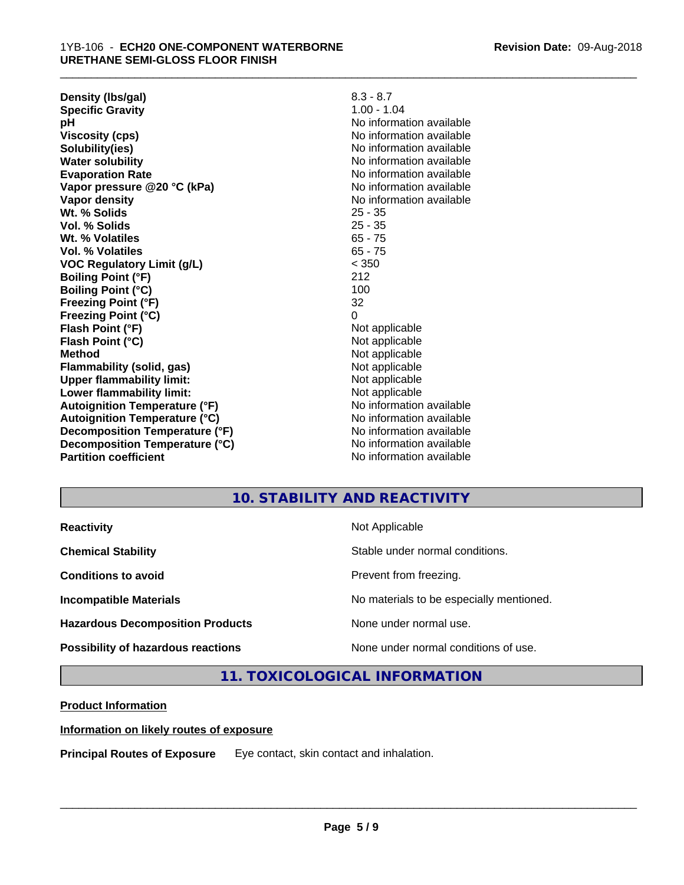| Density (Ibs/gal)                    | $8.3 - 8.7$              |
|--------------------------------------|--------------------------|
| <b>Specific Gravity</b>              | $1.00 - 1.04$            |
| рH                                   | No information available |
| <b>Viscosity (cps)</b>               | No information available |
| Solubility(ies)                      | No information available |
| <b>Water solubility</b>              | No information available |
| <b>Evaporation Rate</b>              | No information available |
| Vapor pressure @20 °C (kPa)          | No information available |
| Vapor density                        | No information available |
| Wt. % Solids                         | $25 - 35$                |
| Vol. % Solids                        | 25 - 35                  |
| Wt. % Volatiles                      | $65 - 75$                |
| Vol. % Volatiles                     | $65 - 75$                |
| <b>VOC Regulatory Limit (g/L)</b>    | < 350                    |
| <b>Boiling Point (°F)</b>            | 212                      |
| <b>Boiling Point (°C)</b>            | 100                      |
| Freezing Point (°F)                  | 32                       |
| <b>Freezing Point (°C)</b>           | $\Omega$                 |
| Flash Point (°F)                     | Not applicable           |
| Flash Point (°C)                     | Not applicable           |
| <b>Method</b>                        | Not applicable           |
| <b>Flammability (solid, gas)</b>     | Not applicable           |
| <b>Upper flammability limit:</b>     | Not applicable           |
| Lower flammability limit:            | Not applicable           |
| <b>Autoignition Temperature (°F)</b> | No information available |
| <b>Autoignition Temperature (°C)</b> | No information available |
| Decomposition Temperature (°F)       | No information available |
| Decomposition Temperature (°C)       | No information available |
| <b>Partition coefficient</b>         | No information available |

\_\_\_\_\_\_\_\_\_\_\_\_\_\_\_\_\_\_\_\_\_\_\_\_\_\_\_\_\_\_\_\_\_\_\_\_\_\_\_\_\_\_\_\_\_\_\_\_\_\_\_\_\_\_\_\_\_\_\_\_\_\_\_\_\_\_\_\_\_\_\_\_\_\_\_\_\_\_\_\_\_\_\_\_\_\_\_\_\_\_\_\_\_

## **10. STABILITY AND REACTIVITY**

| <b>Reactivity</b>                       | Not Applicable                           |
|-----------------------------------------|------------------------------------------|
| <b>Chemical Stability</b>               | Stable under normal conditions.          |
| <b>Conditions to avoid</b>              | Prevent from freezing.                   |
| <b>Incompatible Materials</b>           | No materials to be especially mentioned. |
| <b>Hazardous Decomposition Products</b> | None under normal use.                   |
| Possibility of hazardous reactions      | None under normal conditions of use.     |

## **11. TOXICOLOGICAL INFORMATION**

## **Product Information**

## **Information on likely routes of exposure**

**Principal Routes of Exposure** Eye contact, skin contact and inhalation.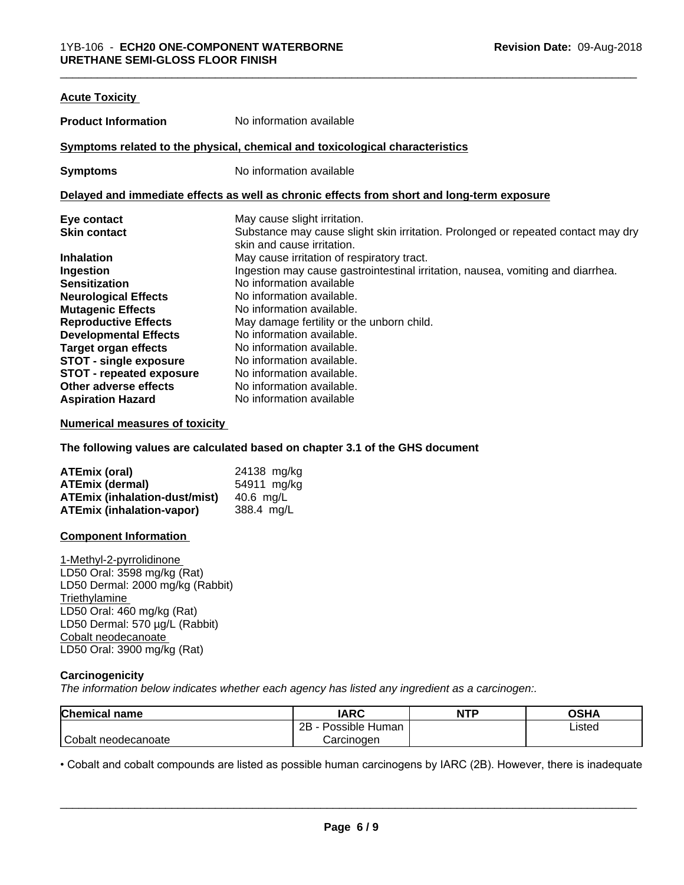| <b>Acute Toxicity</b>           |                                                                                            |
|---------------------------------|--------------------------------------------------------------------------------------------|
| <b>Product Information</b>      | No information available                                                                   |
|                                 | Symptoms related to the physical, chemical and toxicological characteristics               |
| <b>Symptoms</b>                 | No information available                                                                   |
|                                 | Delayed and immediate effects as well as chronic effects from short and long-term exposure |
| Eye contact                     | May cause slight irritation.                                                               |
| <b>Skin contact</b>             | Substance may cause slight skin irritation. Prolonged or repeated contact may dry          |
|                                 | skin and cause irritation.                                                                 |
| <b>Inhalation</b>               | May cause irritation of respiratory tract.                                                 |
| Ingestion                       | Ingestion may cause gastrointestinal irritation, nausea, vomiting and diarrhea.            |
| <b>Sensitization</b>            | No information available                                                                   |
| <b>Neurological Effects</b>     | No information available.                                                                  |
| <b>Mutagenic Effects</b>        | No information available.                                                                  |
| <b>Reproductive Effects</b>     | May damage fertility or the unborn child.                                                  |
| <b>Developmental Effects</b>    | No information available.                                                                  |
| <b>Target organ effects</b>     | No information available.                                                                  |
| <b>STOT - single exposure</b>   | No information available.                                                                  |
| <b>STOT - repeated exposure</b> | No information available.                                                                  |
| Other adverse effects           | No information available.                                                                  |
| <b>Aspiration Hazard</b>        | No information available                                                                   |

### **Numerical measures of toxicity**

**The following values are calculated based on chapter 3.1 of the GHS document**

| ATEmix (oral)                        | 24138 mg/kg |
|--------------------------------------|-------------|
| <b>ATEmix (dermal)</b>               | 54911 mg/kg |
| <b>ATEmix (inhalation-dust/mist)</b> | 40.6 ma/L   |
| <b>ATEmix (inhalation-vapor)</b>     | 388.4 mg/L  |

#### **Component Information**

1-Methyl-2-pyrrolidinone LD50 Oral: 3598 mg/kg (Rat) LD50 Dermal: 2000 mg/kg (Rabbit) **Triethylamine** LD50 Oral: 460 mg/kg (Rat) LD50 Dermal: 570 µg/L (Rabbit) Cobalt neodecanoate LD50 Oral: 3900 mg/kg (Rat)

### **Carcinogenicity**

*The information below indicateswhether each agency has listed any ingredient as a carcinogen:.*

| <b>Chemical name</b> | <b>IARC</b>          | <b>NTP</b> | <b>OSHA</b> |
|----------------------|----------------------|------------|-------------|
|                      | Possible Human<br>2B |            | Listed      |
| Cobalt neodecanoate  | Carcinoɑen           |            |             |

• Cobalt and cobalt compounds are listed as possible human carcinogens by IARC (2B). However, there is inadequate<br> **Page 6/9**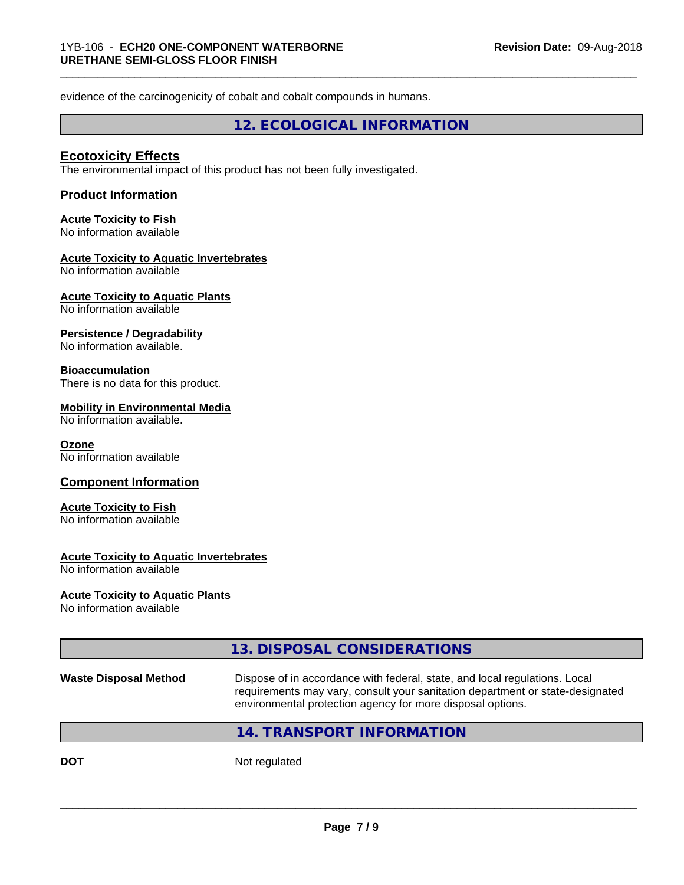evidence of the carcinogenicity of cobalt and cobalt compounds in humans.

**12. ECOLOGICAL INFORMATION**

\_\_\_\_\_\_\_\_\_\_\_\_\_\_\_\_\_\_\_\_\_\_\_\_\_\_\_\_\_\_\_\_\_\_\_\_\_\_\_\_\_\_\_\_\_\_\_\_\_\_\_\_\_\_\_\_\_\_\_\_\_\_\_\_\_\_\_\_\_\_\_\_\_\_\_\_\_\_\_\_\_\_\_\_\_\_\_\_\_\_\_\_\_

## **Ecotoxicity Effects**

The environmental impact of this product has not been fully investigated.

## **Product Information**

## **Acute Toxicity to Fish**

No information available

## **Acute Toxicity to Aquatic Invertebrates**

No information available

## **Acute Toxicity to Aquatic Plants**

No information available

#### **Persistence / Degradability**

No information available.

### **Bioaccumulation**

There is no data for this product.

#### **Mobility in Environmental Media**

No information available.

#### **Ozone**

No information available

## **Component Information**

## **Acute Toxicity to Fish**

No information available

## **Acute Toxicity to Aquatic Invertebrates**

No information available

## **Acute Toxicity to Aquatic Plants**

No information available

|                              | 13. DISPOSAL CONSIDERATIONS                                                                                                                                                                                               |
|------------------------------|---------------------------------------------------------------------------------------------------------------------------------------------------------------------------------------------------------------------------|
| <b>Waste Disposal Method</b> | Dispose of in accordance with federal, state, and local regulations. Local<br>requirements may vary, consult your sanitation department or state-designated<br>environmental protection agency for more disposal options. |
|                              | 14. TRANSPORT INFORMATION                                                                                                                                                                                                 |
|                              |                                                                                                                                                                                                                           |

**DOT** Not regulated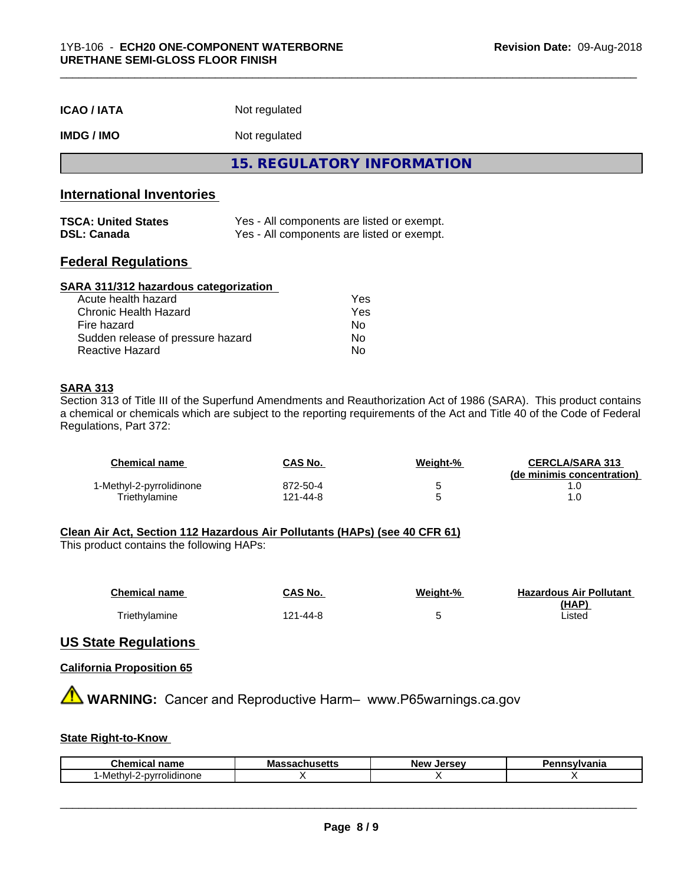| <b>ICAO/IATA</b> | Not regulated |  |
|------------------|---------------|--|
|------------------|---------------|--|

## **IMDG / IMO** Not regulated

**15. REGULATORY INFORMATION**

## **International Inventories**

| <b>TSCA: United States</b> | Yes - All components are listed or exempt. |
|----------------------------|--------------------------------------------|
| <b>DSL: Canada</b>         | Yes - All components are listed or exempt. |

## **Federal Regulations**

#### **SARA 311/312 hazardous categorization**

| Acute health hazard               | Yes |
|-----------------------------------|-----|
| Chronic Health Hazard             | Yes |
| Fire hazard                       | Nο  |
| Sudden release of pressure hazard | Nο  |
| Reactive Hazard                   | N٥  |

## **SARA 313**

Section 313 of Title III of the Superfund Amendments and Reauthorization Act of 1986 (SARA). This product contains a chemical or chemicals which are subject to the reporting requirements of the Act and Title 40 of the Code of Federal Regulations, Part 372:

| Chemical name            | <b>CAS No.</b> | Weiaht-% | <b>CERCLA/SARA 313</b><br>(de minimis concentration) |
|--------------------------|----------------|----------|------------------------------------------------------|
| 1-Methyl-2-pyrrolidinone | 872-50-4       |          |                                                      |
| Triethylamine            | 121-44-8       |          |                                                      |

## **Clean Air Act,Section 112 Hazardous Air Pollutants (HAPs) (see 40 CFR 61)**

This product contains the following HAPs:

| <b>Chemical name</b> | CAS No.  | Weight-% | <b>Hazardous Air Pollutant</b> |
|----------------------|----------|----------|--------------------------------|
|                      |          |          | (HAP)                          |
| Triethylamine        | 121-44-8 |          | Listed                         |

## **US State Regulations**

## **California Proposition 65**

**A WARNING:** Cancer and Reproductive Harm– www.P65warnings.ca.gov

## **State Right-to-Know**

| <b>Chemical name</b>         | Ma'<br>.<br>пиэспэ | <b>LAFCAV</b><br>Ne۱<br>.<br>ьe | ısvlvania |
|------------------------------|--------------------|---------------------------------|-----------|
| rolidinone<br>nvr<br>Methyl- |                    |                                 |           |